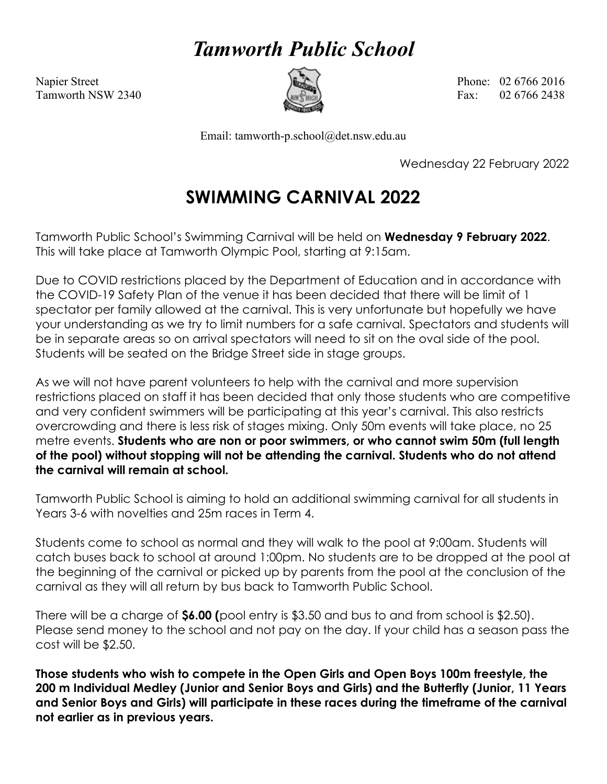## *Tamworth Public School*



Napier Street Phone: 02 6766 2016 Tamworth NSW 2340  $\left(\frac{m}{m}\right)$  Fax: 02.6766.2438

Email: tamworth-p.school@det.nsw.edu.au

Wednesday 22 February 2022

## **SWIMMING CARNIVAL 2022**

Tamworth Public School's Swimming Carnival will be held on **Wednesday 9 February 2022**. This will take place at Tamworth Olympic Pool, starting at 9:15am.

Due to COVID restrictions placed by the Department of Education and in accordance with the COVID-19 Safety Plan of the venue it has been decided that there will be limit of 1 spectator per family allowed at the carnival. This is very unfortunate but hopefully we have your understanding as we try to limit numbers for a safe carnival. Spectators and students will be in separate areas so on arrival spectators will need to sit on the oval side of the pool. Students will be seated on the Bridge Street side in stage groups.

As we will not have parent volunteers to help with the carnival and more supervision restrictions placed on staff it has been decided that only those students who are competitive and very confident swimmers will be participating at this year's carnival. This also restricts overcrowding and there is less risk of stages mixing. Only 50m events will take place, no 25 metre events. **Students who are non or poor swimmers, or who cannot swim 50m (full length of the pool) without stopping will not be attending the carnival. Students who do not attend the carnival will remain at school.** 

Tamworth Public School is aiming to hold an additional swimming carnival for all students in Years 3-6 with novelties and 25m races in Term 4.

Students come to school as normal and they will walk to the pool at 9:00am. Students will catch buses back to school at around 1:00pm. No students are to be dropped at the pool at the beginning of the carnival or picked up by parents from the pool at the conclusion of the carnival as they will all return by bus back to Tamworth Public School.

There will be a charge of **\$6.00 (**pool entry is \$3.50 and bus to and from school is \$2.50). Please send money to the school and not pay on the day. If your child has a season pass the cost will be \$2.50.

**Those students who wish to compete in the Open Girls and Open Boys 100m freestyle, the 200 m Individual Medley (Junior and Senior Boys and Girls) and the Butterfly (Junior, 11 Years and Senior Boys and Girls) will participate in these races during the timeframe of the carnival not earlier as in previous years.**